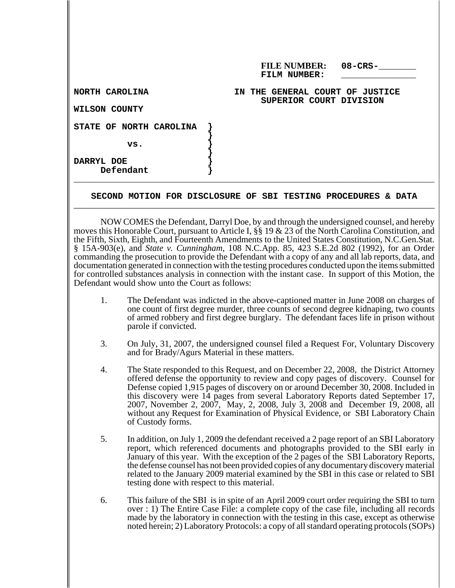|                         | <b>FILE NUMBER:</b><br>$08$ – $CRS$ –<br>FILM NUMBER:      |
|-------------------------|------------------------------------------------------------|
| NORTH CAROLINA          | IN THE GENERAL COURT OF JUSTICE<br>SUPERIOR COURT DIVISION |
| WILSON COUNTY           |                                                            |
| STATE OF NORTH CAROLINA |                                                            |
| vs.                     |                                                            |
| DARRYL DOE<br>Defendant |                                                            |

## SECOND MOTION FOR DISCLOSURE OF SBI TESTING PROCEDURES & DATA

NOW COMES the Defendant, Darryl Doe, by and through the undersigned counsel, and hereby moves this Honorable Court, pursuant to Article I, §§ 19 & 23 of the North Carolina Constitution, and the Fifth, Sixth, Eighth, and Fourteenth Amendments to the United States Constitution, N.C.Gen.Stat. § 15A-903(e), and *State v. Cunningham*, 108 N.C.App. 85, 423 S.E.2d 802 (1992), for an Order commanding the prosecution to provide the Defendant with a copy of any and all lab reports, data, and documentation generated in connection with the testing procedures conducted upon the items submitted for controlled substances analysis in connection with the instant case. In support of this Motion, the Defendant would show unto the Court as follows:

- 1. The Defendant was indicted in the above-captioned matter in June 2008 on charges of one count of first degree murder, three counts of second degree kidnaping, two counts of armed robbery and first degree burglary. The defendant faces life in prison without parole if convicted.
- 3. On July, 31, 2007, the undersigned counsel filed a Request For, Voluntary Discovery and for Brady/Agurs Material in these matters.
- 4. The State responded to this Request, and on December 22, 2008, the District Attorney offered defense the opportunity to review and copy pages of discovery. Counsel for Defense copied 1,915 pages of discovery on or around December 30, 2008. Included in this discovery were 14 pages from several Laboratory Reports dated September 17, 2007, November 2, 2007, May, 2, 2008, July 3, 2008 and December 19, 2008, all without any Request for Examination of Physical Evidence, or SBI Laboratory Chain of Custody forms.
- 5. In addition, on July 1, 2009 the defendant received a 2 page report of an SBI Laboratory report, which referenced documents and photographs provided to the SBI early in January of this year. With the exception of the 2 pages of the SBI Laboratory Reports, the defense counsel has not been provided copies of any documentary discovery material related to the January 2009 material examined by the SBI in this case or related to SBI testing done with respect to this material.
- 6. This failure of the SBI is in spite of an April 2009 court order requiring the SBI to turn over : 1) The Entire Case File: a complete copy of the case file, including all records made by the laboratory in connection with the testing in this case, except as otherwise noted herein; 2) Laboratory Protocols: a copy of all standard operating protocols (SOPs)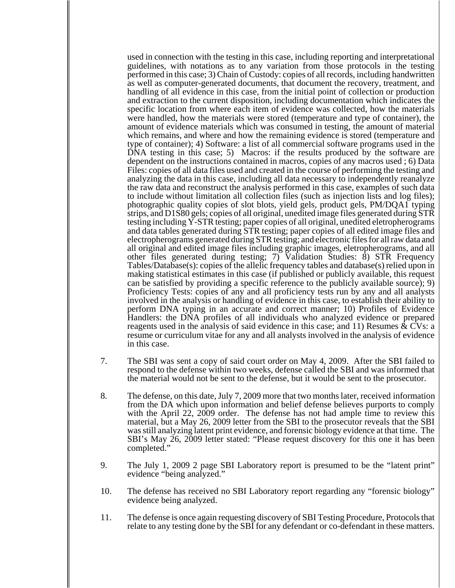used in connection with the testing in this case, including reporting and interpretational guidelines, with notations as to any variation from those protocols in the testing performed in this case; 3) Chain of Custody: copies of all records, including handwritten as well as computer-generated documents, that document the recovery, treatment, and handling of all evidence in this case, from the initial point of collection or production and extraction to the current disposition, including documentation which indicates the specific location from where each item of evidence was collected, how the materials were handled, how the materials were stored (temperature and type of container), the amount of evidence materials which was consumed in testing, the amount of material which remains, and where and how the remaining evidence is stored (temperature and type of container); 4) Software: a list of all commercial software programs used in the  $\overrightarrow{DNA}$  testing in this case; 5) Macros: if the results produced by the software are dependent on the instructions contained in macros, copies of any macros used ; 6) Data Files: copies of all data files used and created in the course of performing the testing and analyzing the data in this case, including all data necessary to independently reanalyze the raw data and reconstruct the analysis performed in this case, examples of such data to include without limitation all collection files (such as injection lists and log files); photographic quality copies of slot blots, yield gels, product gels, PM/DQA1 typing strips, and D1S80 gels; copies of all original, unedited image files generated during STR testing including Y-STR testing; paper copies of all original, unedited eletropherograms and data tables generated during STR testing; paper copies of all edited image files and electropherograms generated during STR testing; and electronic files for all raw data and all original and edited image files including graphic images, eletropherograms, and all other files generated during testing; 7) Validation Studies: 8) STR Frequency Tables/Database(s): copies of the allelic frequency tables and database(s) relied upon in making statistical estimates in this case (if published or publicly available, this request can be satisfied by providing a specific reference to the publicly available source); 9) Proficiency Tests: copies of any and all proficiency tests run by any and all analysts involved in the analysis or handling of evidence in this case, to establish their ability to perform DNA typing in an accurate and correct manner; 10) Profiles of Evidence Handlers: the DNA profiles of all individuals who analyzed evidence or prepared reagents used in the analysis of said evidence in this case; and 11) Resumes  $\&$  CVs: a resume or curriculum vitae for any and all analysts involved in the analysis of evidence in this case.

- 7. The SBI was sent a copy of said court order on May 4, 2009. After the SBI failed to respond to the defense within two weeks, defense called the SBI and was informed that the material would not be sent to the defense, but it would be sent to the prosecutor.
- 8. The defense, on this date, July 7, 2009 more that two months later, received information from the DA which upon information and belief defense believes purports to comply with the April 22, 2009 order. The defense has not had ample time to review this material, but a May 26, 2009 letter from the SBI to the prosecutor reveals that the SBI was still analyzing latent print evidence, and forensic biology evidence at that time. The SBI's May 26, 2009 letter stated: "Please request discovery for this one it has been completed."
- 9. The July 1, 2009 2 page SBI Laboratory report is presumed to be the "latent print" evidence "being analyzed."
- 10. The defense has received no SBI Laboratory report regarding any "forensic biology" evidence being analyzed.
- 11. The defense is once again requesting discovery of SBI Testing Procedure, Protocols that relate to any testing done by the SBI for any defendant or co-defendant in these matters.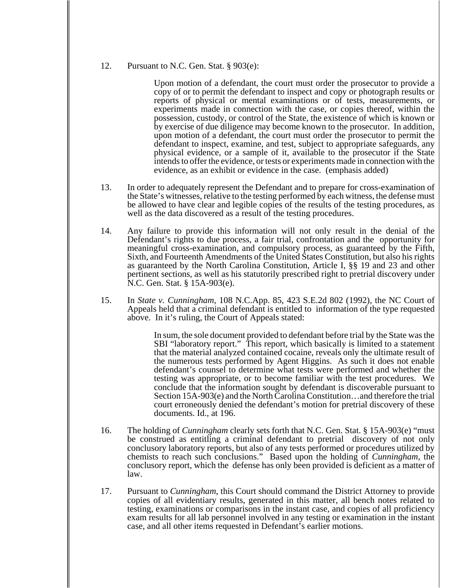## 12. Pursuant to N.C. Gen. Stat. § 903(e):

Upon motion of a defendant, the court must order the prosecutor to provide a copy of or to permit the defendant to inspect and copy or photograph results or reports of physical or mental examinations or of tests, measurements, or experiments made in connection with the case, or copies thereof, within the possession, custody, or control of the State, the existence of which is known or by exercise of due diligence may become known to the prosecutor. In addition, upon motion of a defendant, the court must order the prosecutor to permit the defendant to inspect, examine, and test, subject to appropriate safeguards, any physical evidence, or a sample of it, available to the prosecutor if the State intends to offer the evidence, or tests or experiments made in connection with the evidence, as an exhibit or evidence in the case. (emphasis added)

- 13. In order to adequately represent the Defendant and to prepare for cross-examination of the State's witnesses, relative to the testing performed by each witness, the defense must be allowed to have clear and legible copies of the results of the testing procedures, as well as the data discovered as a result of the testing procedures.
- 14. Any failure to provide this information will not only result in the denial of the Defendant's rights to due process, a fair trial, confrontation and the opportunity for meaningful cross-examination, and compulsory process, as guaranteed by the Fifth, Sixth, and Fourteenth Amendments of the United States Constitution, but also his rights as guaranteed by the North Carolina Constitution, Article I, §§ 19 and 23 and other pertinent sections, as well as his statutorily prescribed right to pretrial discovery under N.C. Gen. Stat. § 15A-903(e).
- 15. In *State v. Cunningham*, 108 N.C.App. 85, 423 S.E.2d 802 (1992), the NC Court of Appeals held that a criminal defendant is entitled to information of the type requested above. In it's ruling, the Court of Appeals stated:

In sum, the sole document provided to defendant before trial by the State was the SBI "laboratory report." This report, which basically is limited to a statement that the material analyzed contained cocaine, reveals only the ultimate result of the numerous tests performed by Agent Higgins. As such it does not enable defendant's counsel to determine what tests were performed and whether the testing was appropriate, or to become familiar with the test procedures. We conclude that the information sought by defendant is discoverable pursuant to Section 15A-903(e) and the North Carolina Constitution…and therefore the trial court erroneously denied the defendant's motion for pretrial discovery of these documents. Id., at 196.

- 16. The holding of *Cunningham* clearly sets forth that N.C. Gen. Stat. § 15A-903(e) "must be construed as entitling a criminal defendant to pretrial discovery of not only conclusory laboratory reports, but also of any tests performed or procedures utilized by chemists to reach such conclusions." Based upon the holding of *Cunningham*, the conclusory report, which the defense has only been provided is deficient as a matter of law.
- 17. Pursuant to *Cunningham*, this Court should command the District Attorney to provide copies of all evidentiary results, generated in this matter, all bench notes related to testing, examinations or comparisons in the instant case, and copies of all proficiency exam results for all lab personnel involved in any testing or examination in the instant case, and all other items requested in Defendant's earlier motions.